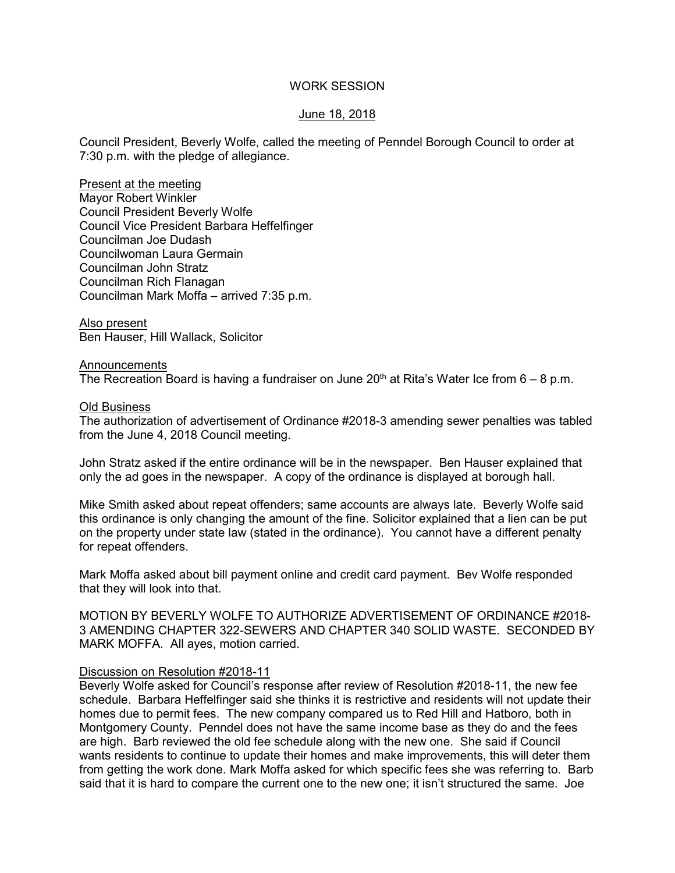### WORK SESSION

# June 18, 2018

Council President, Beverly Wolfe, called the meeting of Penndel Borough Council to order at 7:30 p.m. with the pledge of allegiance.

Present at the meeting Mayor Robert Winkler Council President Beverly Wolfe Council Vice President Barbara Heffelfinger Councilman Joe Dudash Councilwoman Laura Germain Councilman John Stratz Councilman Rich Flanagan Councilman Mark Moffa – arrived 7:35 p.m.

Also present Ben Hauser, Hill Wallack, Solicitor

#### Announcements

The Recreation Board is having a fundraiser on June  $20<sup>th</sup>$  at Rita's Water Ice from 6 – 8 p.m.

#### Old Business

The authorization of advertisement of Ordinance #2018-3 amending sewer penalties was tabled from the June 4, 2018 Council meeting.

John Stratz asked if the entire ordinance will be in the newspaper. Ben Hauser explained that only the ad goes in the newspaper. A copy of the ordinance is displayed at borough hall.

Mike Smith asked about repeat offenders; same accounts are always late. Beverly Wolfe said this ordinance is only changing the amount of the fine. Solicitor explained that a lien can be put on the property under state law (stated in the ordinance). You cannot have a different penalty for repeat offenders.

Mark Moffa asked about bill payment online and credit card payment. Bev Wolfe responded that they will look into that.

MOTION BY BEVERLY WOLFE TO AUTHORIZE ADVERTISEMENT OF ORDINANCE #2018- 3 AMENDING CHAPTER 322-SEWERS AND CHAPTER 340 SOLID WASTE. SECONDED BY MARK MOFFA. All ayes, motion carried.

#### Discussion on Resolution #2018-11

Beverly Wolfe asked for Council's response after review of Resolution #2018-11, the new fee schedule. Barbara Heffelfinger said she thinks it is restrictive and residents will not update their homes due to permit fees. The new company compared us to Red Hill and Hatboro, both in Montgomery County. Penndel does not have the same income base as they do and the fees are high. Barb reviewed the old fee schedule along with the new one. She said if Council wants residents to continue to update their homes and make improvements, this will deter them from getting the work done. Mark Moffa asked for which specific fees she was referring to. Barb said that it is hard to compare the current one to the new one; it isn't structured the same. Joe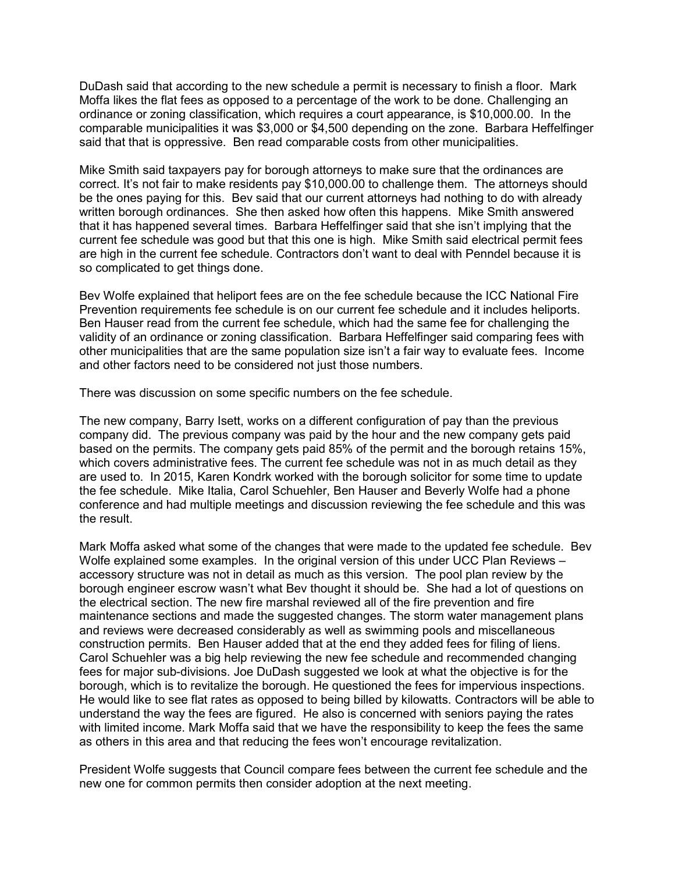DuDash said that according to the new schedule a permit is necessary to finish a floor. Mark Moffa likes the flat fees as opposed to a percentage of the work to be done. Challenging an ordinance or zoning classification, which requires a court appearance, is \$10,000.00. In the comparable municipalities it was \$3,000 or \$4,500 depending on the zone. Barbara Heffelfinger said that that is oppressive. Ben read comparable costs from other municipalities.

Mike Smith said taxpayers pay for borough attorneys to make sure that the ordinances are correct. It's not fair to make residents pay \$10,000.00 to challenge them. The attorneys should be the ones paying for this. Bev said that our current attorneys had nothing to do with already written borough ordinances. She then asked how often this happens. Mike Smith answered that it has happened several times. Barbara Heffelfinger said that she isn't implying that the current fee schedule was good but that this one is high. Mike Smith said electrical permit fees are high in the current fee schedule. Contractors don't want to deal with Penndel because it is so complicated to get things done.

Bev Wolfe explained that heliport fees are on the fee schedule because the ICC National Fire Prevention requirements fee schedule is on our current fee schedule and it includes heliports. Ben Hauser read from the current fee schedule, which had the same fee for challenging the validity of an ordinance or zoning classification. Barbara Heffelfinger said comparing fees with other municipalities that are the same population size isn't a fair way to evaluate fees. Income and other factors need to be considered not just those numbers.

There was discussion on some specific numbers on the fee schedule.

The new company, Barry Isett, works on a different configuration of pay than the previous company did. The previous company was paid by the hour and the new company gets paid based on the permits. The company gets paid 85% of the permit and the borough retains 15%, which covers administrative fees. The current fee schedule was not in as much detail as they are used to. In 2015, Karen Kondrk worked with the borough solicitor for some time to update the fee schedule. Mike Italia, Carol Schuehler, Ben Hauser and Beverly Wolfe had a phone conference and had multiple meetings and discussion reviewing the fee schedule and this was the result.

Mark Moffa asked what some of the changes that were made to the updated fee schedule. Bev Wolfe explained some examples. In the original version of this under UCC Plan Reviews – accessory structure was not in detail as much as this version. The pool plan review by the borough engineer escrow wasn't what Bev thought it should be. She had a lot of questions on the electrical section. The new fire marshal reviewed all of the fire prevention and fire maintenance sections and made the suggested changes. The storm water management plans and reviews were decreased considerably as well as swimming pools and miscellaneous construction permits. Ben Hauser added that at the end they added fees for filing of liens. Carol Schuehler was a big help reviewing the new fee schedule and recommended changing fees for major sub-divisions. Joe DuDash suggested we look at what the objective is for the borough, which is to revitalize the borough. He questioned the fees for impervious inspections. He would like to see flat rates as opposed to being billed by kilowatts. Contractors will be able to understand the way the fees are figured. He also is concerned with seniors paying the rates with limited income. Mark Moffa said that we have the responsibility to keep the fees the same as others in this area and that reducing the fees won't encourage revitalization.

President Wolfe suggests that Council compare fees between the current fee schedule and the new one for common permits then consider adoption at the next meeting.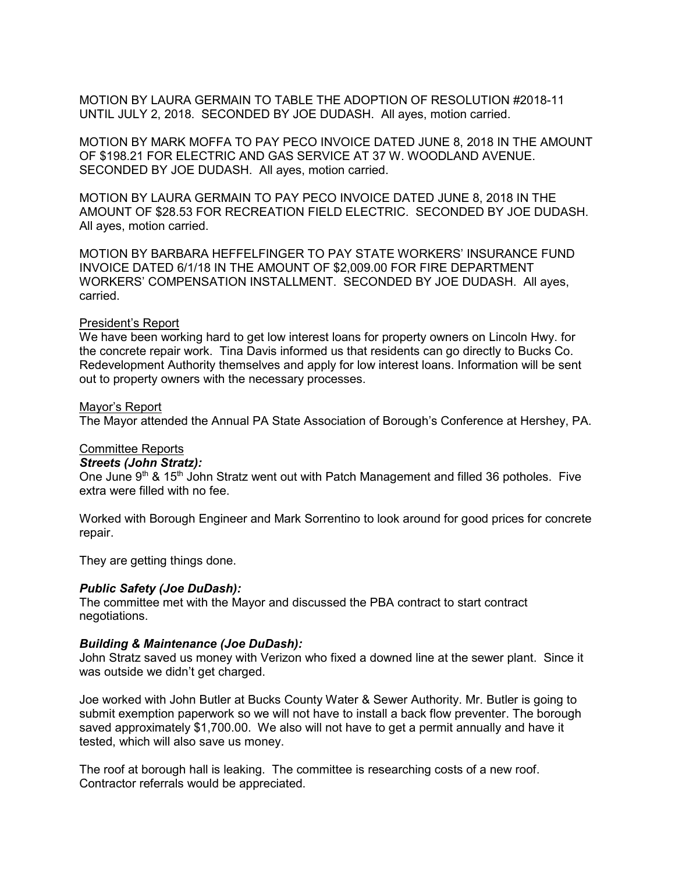MOTION BY LAURA GERMAIN TO TABLE THE ADOPTION OF RESOLUTION #2018-11 UNTIL JULY 2, 2018. SECONDED BY JOE DUDASH. All ayes, motion carried.

MOTION BY MARK MOFFA TO PAY PECO INVOICE DATED JUNE 8, 2018 IN THE AMOUNT OF \$198.21 FOR ELECTRIC AND GAS SERVICE AT 37 W. WOODLAND AVENUE. SECONDED BY JOE DUDASH. All ayes, motion carried.

MOTION BY LAURA GERMAIN TO PAY PECO INVOICE DATED JUNE 8, 2018 IN THE AMOUNT OF \$28.53 FOR RECREATION FIELD ELECTRIC. SECONDED BY JOE DUDASH. All ayes, motion carried.

MOTION BY BARBARA HEFFELFINGER TO PAY STATE WORKERS' INSURANCE FUND INVOICE DATED 6/1/18 IN THE AMOUNT OF \$2,009.00 FOR FIRE DEPARTMENT WORKERS' COMPENSATION INSTALLMENT. SECONDED BY JOE DUDASH. All ayes, carried.

#### President's Report

We have been working hard to get low interest loans for property owners on Lincoln Hwy. for the concrete repair work. Tina Davis informed us that residents can go directly to Bucks Co. Redevelopment Authority themselves and apply for low interest loans. Information will be sent out to property owners with the necessary processes.

#### Mayor's Report

The Mayor attended the Annual PA State Association of Borough's Conference at Hershey, PA.

# Committee Reports

#### *Streets (John Stratz):*

One June 9<sup>th</sup> & 15<sup>th</sup> John Stratz went out with Patch Management and filled 36 potholes. Five extra were filled with no fee.

Worked with Borough Engineer and Mark Sorrentino to look around for good prices for concrete repair.

They are getting things done.

### *Public Safety (Joe DuDash):*

The committee met with the Mayor and discussed the PBA contract to start contract negotiations.

### *Building & Maintenance (Joe DuDash):*

John Stratz saved us money with Verizon who fixed a downed line at the sewer plant. Since it was outside we didn't get charged.

Joe worked with John Butler at Bucks County Water & Sewer Authority. Mr. Butler is going to submit exemption paperwork so we will not have to install a back flow preventer. The borough saved approximately \$1,700.00. We also will not have to get a permit annually and have it tested, which will also save us money.

The roof at borough hall is leaking. The committee is researching costs of a new roof. Contractor referrals would be appreciated.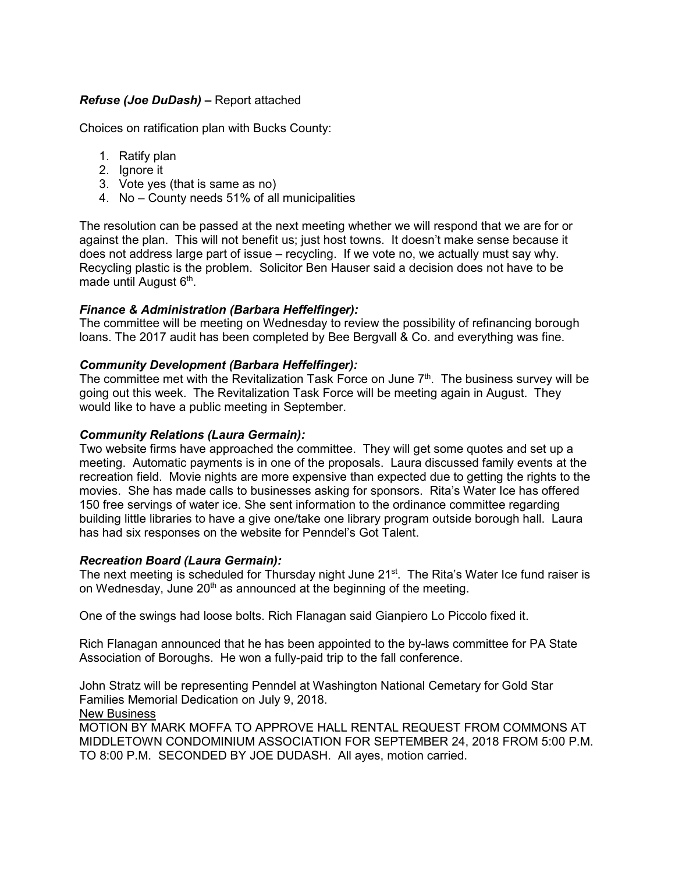# *Refuse (Joe DuDash) –* Report attached

Choices on ratification plan with Bucks County:

- 1. Ratify plan
- 2. Ignore it
- 3. Vote yes (that is same as no)
- 4. No County needs 51% of all municipalities

The resolution can be passed at the next meeting whether we will respond that we are for or against the plan. This will not benefit us; just host towns. It doesn't make sense because it does not address large part of issue – recycling. If we vote no, we actually must say why. Recycling plastic is the problem. Solicitor Ben Hauser said a decision does not have to be made until August 6<sup>th</sup>.

# *Finance & Administration (Barbara Heffelfinger):*

The committee will be meeting on Wednesday to review the possibility of refinancing borough loans. The 2017 audit has been completed by Bee Bergvall & Co. and everything was fine.

### *Community Development (Barbara Heffelfinger):*

The committee met with the Revitalization Task Force on June  $7<sup>th</sup>$ . The business survey will be going out this week. The Revitalization Task Force will be meeting again in August. They would like to have a public meeting in September.

# *Community Relations (Laura Germain):*

Two website firms have approached the committee. They will get some quotes and set up a meeting. Automatic payments is in one of the proposals. Laura discussed family events at the recreation field. Movie nights are more expensive than expected due to getting the rights to the movies. She has made calls to businesses asking for sponsors. Rita's Water Ice has offered 150 free servings of water ice. She sent information to the ordinance committee regarding building little libraries to have a give one/take one library program outside borough hall. Laura has had six responses on the website for Penndel's Got Talent.

### *Recreation Board (Laura Germain):*

The next meeting is scheduled for Thursday night June 21<sup>st</sup>. The Rita's Water Ice fund raiser is on Wednesday, June  $20<sup>th</sup>$  as announced at the beginning of the meeting.

One of the swings had loose bolts. Rich Flanagan said Gianpiero Lo Piccolo fixed it.

Rich Flanagan announced that he has been appointed to the by-laws committee for PA State Association of Boroughs. He won a fully-paid trip to the fall conference.

John Stratz will be representing Penndel at Washington National Cemetary for Gold Star Families Memorial Dedication on July 9, 2018.

New Business

MOTION BY MARK MOFFA TO APPROVE HALL RENTAL REQUEST FROM COMMONS AT MIDDLETOWN CONDOMINIUM ASSOCIATION FOR SEPTEMBER 24, 2018 FROM 5:00 P.M. TO 8:00 P.M. SECONDED BY JOE DUDASH. All ayes, motion carried.